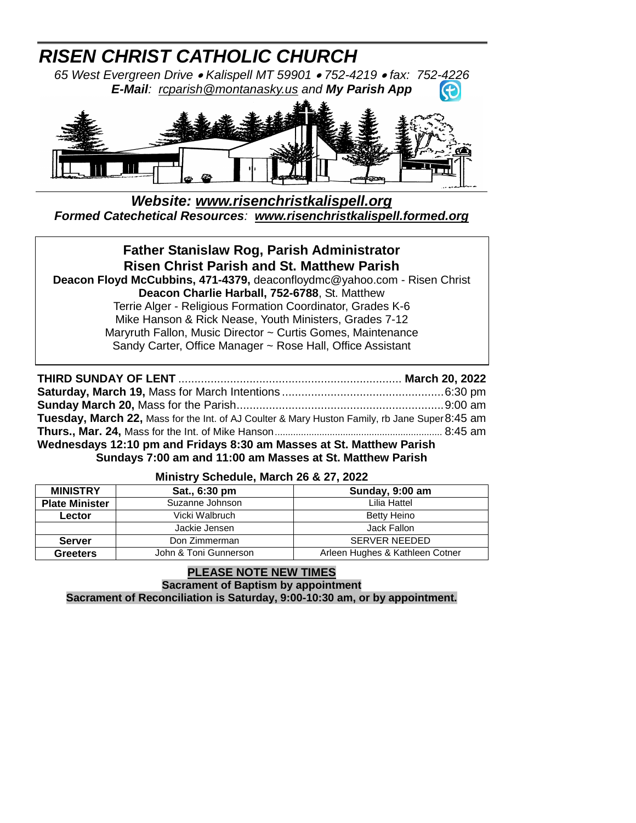# *RISEN CHRIST CATHOLIC CHURCH*

*65 West Evergreen Drive Kalispell MT 59901 752-4219 fax: 752-4226 E-Mail: [rcparish@montanasky.us](mailto:rcparish@montanasky.us) and My Parish App*  $\left( \bigoplus$ 



# *Website: [www.risenchristkalispell.org](http://www.risenchristkalispell.org/) Formed Catechetical Resources: [www.risenchristkalispell.formed.org](http://www.risenchristkalispell.formed.org/)*

# **Father Stanislaw Rog, Parish Administrator Risen Christ Parish and St. Matthew Parish Deacon Floyd McCubbins, 471-4379,** deaconfloydmc@yahoo.com - Risen Christ **Deacon Charlie Harball, 752-6788**, St. Matthew Terrie Alger - Religious Formation Coordinator, Grades K-6 Mike Hanson & Rick Nease, Youth Ministers, Grades 7-12 Maryruth Fallon, Music Director ~ Curtis Gomes, Maintenance Sandy Carter, Office Manager ~ Rose Hall, Office Assistant

| Tuesday, March 22, Mass for the Int. of AJ Coulter & Mary Huston Family, rb Jane Super 8:45 am |  |  |  |  |
|------------------------------------------------------------------------------------------------|--|--|--|--|
|                                                                                                |  |  |  |  |
| Wednesdays 12:10 pm and Fridays 8:30 am Masses at St. Matthew Parish                           |  |  |  |  |
| Sundays 7:00 am and 11:00 am Masses at St. Matthew Parish                                      |  |  |  |  |

# **Ministry Schedule, March 26 & 27, 2022**

| <b>MINISTRY</b>       | Sat., 6:30 pm                        | Sunday, 9:00 am                 |  |
|-----------------------|--------------------------------------|---------------------------------|--|
| <b>Plate Minister</b> | Suzanne Johnson                      | Lilia Hattel                    |  |
| Lector                | Vicki Walbruch<br><b>Betty Heino</b> |                                 |  |
|                       | Jackie Jensen                        | Jack Fallon                     |  |
| <b>Server</b>         | Don Zimmerman                        | <b>SERVER NEEDED</b>            |  |
| <b>Greeters</b>       | John & Toni Gunnerson                | Arleen Hughes & Kathleen Cotner |  |

#### **PLEASE NOTE NEW TIMES Sacrament of Baptism by appointment Sacrament of Reconciliation is Saturday, 9:00-10:30 am, or by appointment.**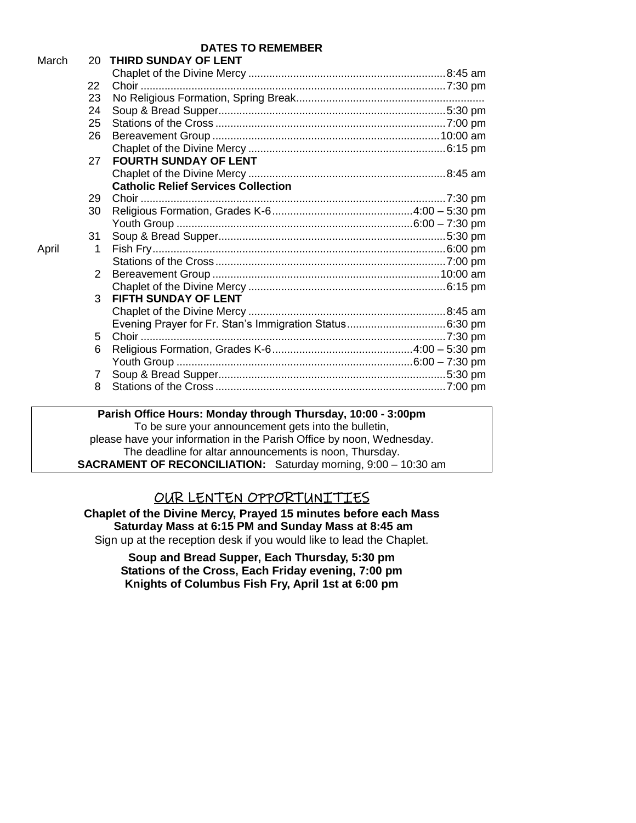**DATES TO REMEMBER**

| March |    | 20 THIRD SUNDAY OF LENT                    |  |
|-------|----|--------------------------------------------|--|
|       |    |                                            |  |
|       | 22 |                                            |  |
|       | 23 |                                            |  |
|       | 24 |                                            |  |
|       | 25 |                                            |  |
|       | 26 |                                            |  |
|       |    |                                            |  |
|       | 27 | <b>FOURTH SUNDAY OF LENT</b>               |  |
|       |    |                                            |  |
|       |    | <b>Catholic Relief Services Collection</b> |  |
|       | 29 |                                            |  |
|       | 30 |                                            |  |
|       |    |                                            |  |
|       | 31 |                                            |  |
| April | 1  |                                            |  |
|       |    |                                            |  |
|       | 2  |                                            |  |
|       |    |                                            |  |
|       | 3  | FIFTH SUNDAY OF LENT                       |  |
|       |    |                                            |  |
|       |    |                                            |  |
|       | 5  |                                            |  |
|       | 6  |                                            |  |
|       |    |                                            |  |
|       | 7  |                                            |  |
|       | 8  |                                            |  |
|       |    |                                            |  |

**Parish Office Hours: Monday through Thursday, 10:00 - 3:00pm** To be sure your announcement gets into the bulletin, please have your information in the Parish Office by noon, Wednesday. The deadline for altar announcements is noon, Thursday. **SACRAMENT OF RECONCILIATION:** Saturday morning, 9:00 – 10:30 am

# OUR LENTEN OPPORTUNITIES

**Chaplet of the Divine Mercy, Prayed 15 minutes before each Mass Saturday Mass at 6:15 PM and Sunday Mass at 8:45 am** Sign up at the reception desk if you would like to lead the Chaplet.

> **Soup and Bread Supper, Each Thursday, 5:30 pm Stations of the Cross, Each Friday evening, 7:00 pm Knights of Columbus Fish Fry, April 1st at 6:00 pm**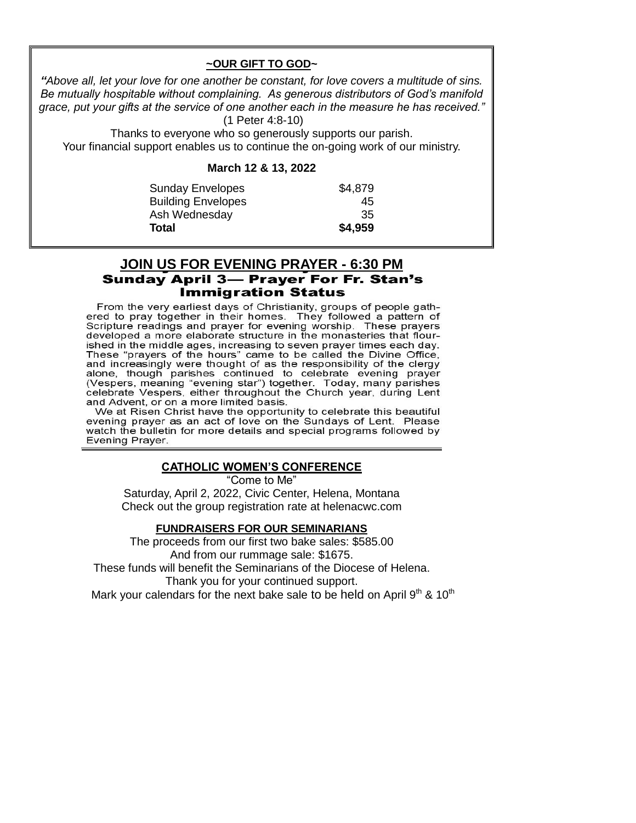#### **~OUR GIFT TO GOD~**

*"Above all, let your love for one another be constant, for love covers a multitude of sins. Be mutually hospitable without complaining. As generous distributors of God's manifold grace, put your gifts at the service of one another each in the measure he has received."* (1 Peter 4:8-10)

Thanks to everyone who so generously supports our parish.

Your financial support enables us to continue the on-going work of our ministry.

#### **March 12 & 13, 2022**

| <b>Sunday Envelopes</b>   | \$4,879 |
|---------------------------|---------|
| <b>Building Envelopes</b> | 45      |
| Ash Wednesday             | 35      |
| Total                     | \$4,959 |

# **JOIN US FOR EVENING PRAYER - 6:30 PM Sunday April 3- Prayer For Fr. Stan's Immigration Status**

From the very earliest days of Christianity, groups of people gathered to pray together in their homes. They followed a pattern of Scripture readings and prayer for evening worship. These prayers developed a more elaborate structure in the monasteries that flourished in the middle ages, increasing to seven prayer times each day. These "prayers of the hours" came to be called the Divine Office, and increasingly were thought of as the responsibility of the clergy alone, though parishes continued to celebrate evening prayer (Vespers, meaning "evening star") together. Today, many parishes celebrate Vespers, either throughout the Church year, during Lent and Advent, or on a more limited basis.

We at Risen Christ have the opportunity to celebrate this beautiful evening prayer as an act of love on the Sundays of Lent. Please watch the bulletin for more details and special programs followed by Evening Prayer.

# **CATHOLIC WOMEN'S CONFERENCE**

"Come to Me" Saturday, April 2, 2022, Civic Center, Helena, Montana Check out the group registration rate at helenacwc.com

#### **FUNDRAISERS FOR OUR SEMINARIANS**

The proceeds from our first two bake sales: \$585.00 And from our rummage sale: \$1675. These funds will benefit the Seminarians of the Diocese of Helena. Thank you for your continued support.

Mark your calendars for the next bake sale to be held on April  $9<sup>th</sup>$  & 10<sup>th</sup>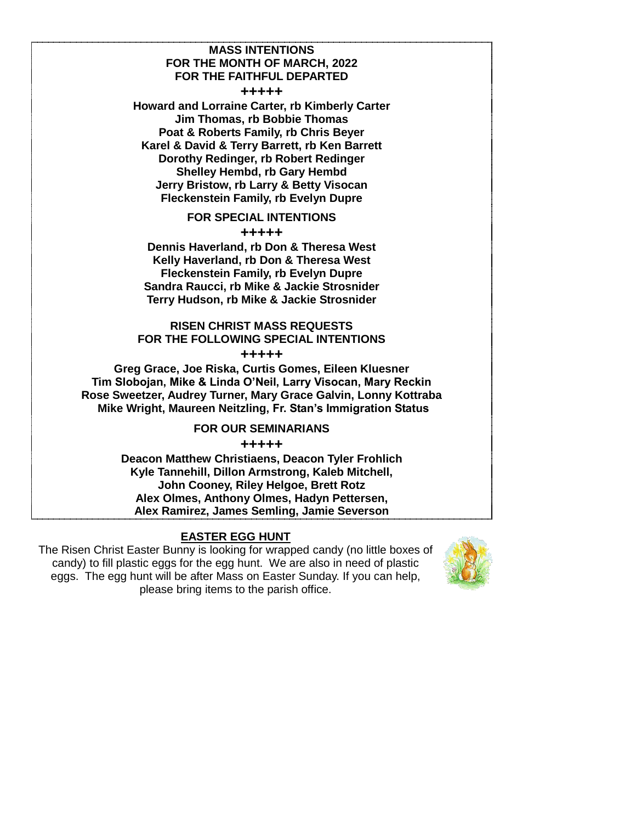#### **MASS INTENTIONS FOR THE MONTH OF MARCH, 2022 FOR THE FAITHFUL DEPARTED**

**+++++**

**Howard and Lorraine Carter, rb Kimberly Carter Jim Thomas, rb Bobbie Thomas Poat & Roberts Family, rb Chris Beyer Karel & David & Terry Barrett, rb Ken Barrett Dorothy Redinger, rb Robert Redinger Shelley Hembd, rb Gary Hembd Jerry Bristow, rb Larry & Betty Visocan Fleckenstein Family, rb Evelyn Dupre**

**FOR SPECIAL INTENTIONS**

**+++++**

**Dennis Haverland, rb Don & Theresa West Kelly Haverland, rb Don & Theresa West Fleckenstein Family, rb Evelyn Dupre Sandra Raucci, rb Mike & Jackie Strosnider Terry Hudson, rb Mike & Jackie Strosnider**

# **RISEN CHRIST MASS REQUESTS FOR THE FOLLOWING SPECIAL INTENTIONS**

**+++++** 

**Greg Grace, Joe Riska, Curtis Gomes, Eileen Kluesner Tim Slobojan, Mike & Linda O'Neil, Larry Visocan, Mary Reckin Rose Sweetzer, Audrey Turner, Mary Grace Galvin, Lonny Kottraba Mike Wright, Maureen Neitzling, Fr. Stan's Immigration Status**

#### **FOR OUR SEMINARIANS**

**+++++**

**Deacon Matthew Christiaens, Deacon Tyler Frohlich Kyle Tannehill, Dillon Armstrong, Kaleb Mitchell, John Cooney, Riley Helgoe, Brett Rotz Alex Olmes, Anthony Olmes, Hadyn Pettersen, Alex Ramirez, James Semling, Jamie Severson**

# **EASTER EGG HUNT**

The Risen Christ Easter Bunny is looking for wrapped candy (no little boxes of candy) to fill plastic eggs for the egg hunt. We are also in need of plastic eggs. The egg hunt will be after Mass on Easter Sunday. If you can help, please bring items to the parish office.

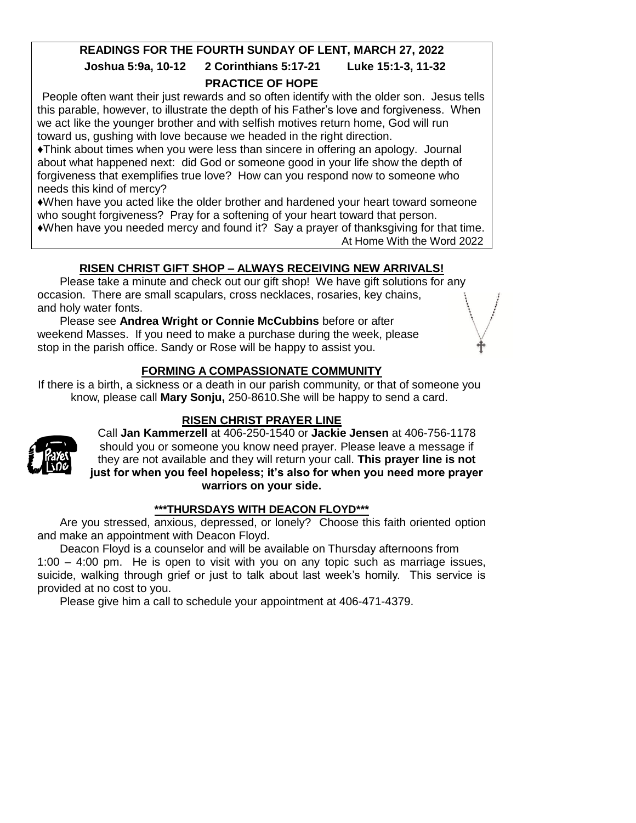# **READINGS FOR THE FOURTH SUNDAY OF LENT, MARCH 27, 2022**

# **Joshua 5:9a, 10-12 2 Corinthians 5:17-21 Luke 15:1-3, 11-32 PRACTICE OF HOPE**

People often want their just rewards and so often identify with the older son. Jesus tells this parable, however, to illustrate the depth of his Father's love and forgiveness. When we act like the younger brother and with selfish motives return home, God will run toward us, gushing with love because we headed in the right direction.

♦Think about times when you were less than sincere in offering an apology. Journal about what happened next: did God or someone good in your life show the depth of forgiveness that exemplifies true love? How can you respond now to someone who needs this kind of mercy?

♦When have you acted like the older brother and hardened your heart toward someone who sought forgiveness? Pray for a softening of your heart toward that person. ♦When have you needed mercy and found it? Say a prayer of thanksgiving for that time.

At Home With the Word 2022

# **RISEN CHRIST GIFT SHOP – ALWAYS RECEIVING NEW ARRIVALS!**

Please take a minute and check out our gift shop! We have gift solutions for any occasion. There are small scapulars, cross necklaces, rosaries, key chains, and holy water fonts.

Please see **Andrea Wright or Connie McCubbins** before or after weekend Masses. If you need to make a purchase during the week, please stop in the parish office. Sandy or Rose will be happy to assist you.

# **FORMING A COMPASSIONATE COMMUNITY**

If there is a birth, a sickness or a death in our parish community, or that of someone you know, please call **Mary Sonju,** 250-8610.She will be happy to send a card.

# **RISEN CHRIST PRAYER LINE**



Call **Jan Kammerzell** at 406-250-1540 or **Jackie Jensen** at 406-756-1178 should you or someone you know need prayer. Please leave a message if they are not available and they will return your call. **This prayer line is not just for when you feel hopeless; it's also for when you need more prayer warriors on your side.**

#### **\*\*\*THURSDAYS WITH DEACON FLOYD\*\*\***

Are you stressed, anxious, depressed, or lonely? Choose this faith oriented option and make an appointment with Deacon Floyd.

Deacon Floyd is a counselor and will be available on Thursday afternoons from 1:00 – 4:00 pm. He is open to visit with you on any topic such as marriage issues, suicide, walking through grief or just to talk about last week's homily. This service is provided at no cost to you.

Please give him a call to schedule your appointment at 406-471-4379.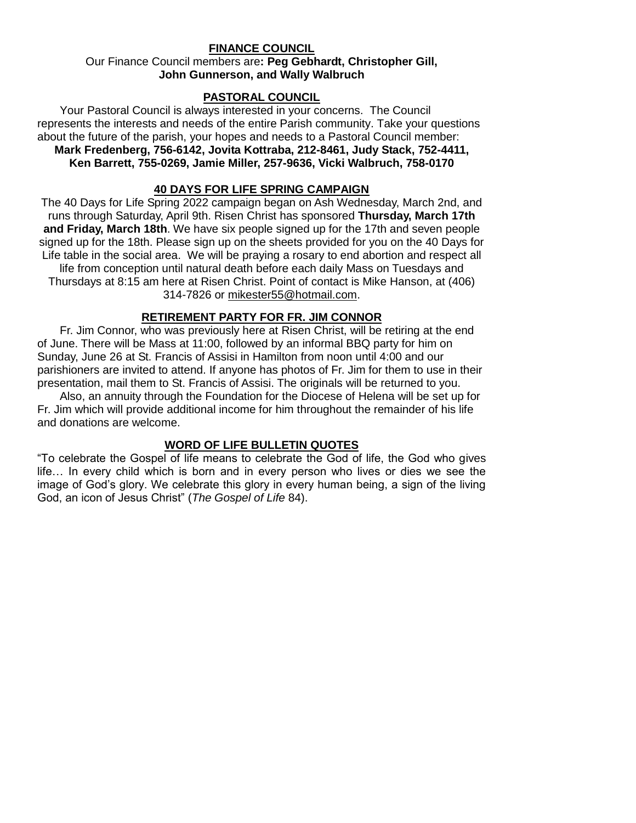#### **FINANCE COUNCIL**

#### Our Finance Council members are**: Peg Gebhardt, Christopher Gill, John Gunnerson, and Wally Walbruch**

#### **PASTORAL COUNCIL**

Your Pastoral Council is always interested in your concerns. The Council represents the interests and needs of the entire Parish community. Take your questions about the future of the parish, your hopes and needs to a Pastoral Council member: **Mark Fredenberg, 756-6142, Jovita Kottraba, 212-8461, Judy Stack, 752-4411, Ken Barrett, 755-0269, Jamie Miller, 257-9636, Vicki Walbruch, 758-0170**

#### **40 DAYS FOR LIFE SPRING CAMPAIGN**

The 40 Days for Life Spring 2022 campaign began on Ash Wednesday, March 2nd, and runs through Saturday, April 9th. Risen Christ has sponsored **Thursday, March 17th and Friday, March 18th**. We have six people signed up for the 17th and seven people signed up for the 18th. Please sign up on the sheets provided for you on the 40 Days for Life table in the social area. We will be praying a rosary to end abortion and respect all life from conception until natural death before each daily Mass on Tuesdays and Thursdays at 8:15 am here at Risen Christ. Point of contact is Mike Hanson, at (406) 314-7826 or [mikester55@hotmail.com.](mailto:mikester55@hotmail.com)

#### **RETIREMENT PARTY FOR FR. JIM CONNOR**

Fr. Jim Connor, who was previously here at Risen Christ, will be retiring at the end of June. There will be Mass at 11:00, followed by an informal BBQ party for him on Sunday, June 26 at St. Francis of Assisi in Hamilton from noon until 4:00 and our parishioners are invited to attend. If anyone has photos of Fr. Jim for them to use in their presentation, mail them to St. Francis of Assisi. The originals will be returned to you.

Also, an annuity through the Foundation for the Diocese of Helena will be set up for Fr. Jim which will provide additional income for him throughout the remainder of his life and donations are welcome.

#### **WORD OF LIFE BULLETIN QUOTES**

"To celebrate the Gospel of life means to celebrate the God of life, the God who gives life… In every child which is born and in every person who lives or dies we see the image of God's glory. We celebrate this glory in every human being, a sign of the living God, an icon of Jesus Christ" (*The Gospel of Life* 84).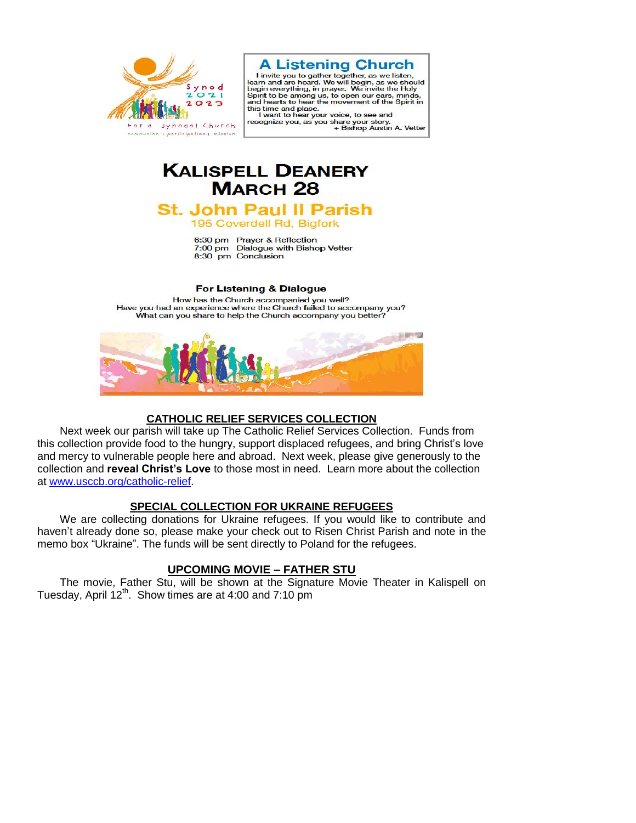



l'invite you to gather together, as we interested<br>learn and are heard. We will begin, as we should<br>begin everything, in prayer. We invite the Holy Spirit to be among us, to open our ears, minds,<br>and hearts to hear the movement of the Spirit in this time and place.

I want to hear your voice, to see and recognize you, as you share your story.<br>Bishop Austin A. Vetter +

# **KALISPELL DEANERY MARCH 28**

# **St. John Paul II Parish**

195 Coverdell Rd, Bigfork

6:30 pm Prayer & Reflection 7:00 pm Dialogue with Bishop Vetter 8:30 pm Conclusion

#### For Listening & Dialogue

How has the Church accompanied you well? Have you had an experience where the Church failed to accompany you? What can you share to help the Church accompany you better?



#### **CATHOLIC RELIEF SERVICES COLLECTION**

Next week our parish will take up The Catholic Relief Services Collection. Funds from this collection provide food to the hungry, support displaced refugees, and bring Christ's love and mercy to vulnerable people here and abroad. Next week, please give generously to the collection and **reveal Christ's Love** to those most in need. Learn more about the collection at [www.usccb.org/catholic-relief.](http://www.usccb.org/catholic-relief)

# **SPECIAL COLLECTION FOR UKRAINE REFUGEES**

We are collecting donations for Ukraine refugees. If you would like to contribute and haven't already done so, please make your check out to Risen Christ Parish and note in the memo box "Ukraine". The funds will be sent directly to Poland for the refugees.

# **UPCOMING MOVIE – FATHER STU**

The movie, Father Stu, will be shown at the Signature Movie Theater in Kalispell on Tuesday, April  $12<sup>th</sup>$ . Show times are at 4:00 and 7:10 pm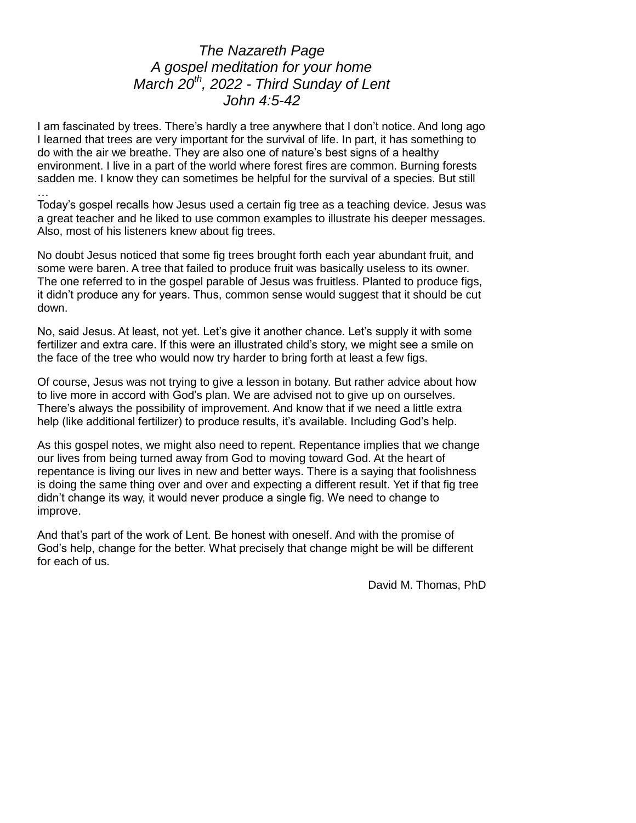# *The Nazareth Page A gospel meditation for your home March 20th , 2022 - Third Sunday of Lent John 4:5-42*

I am fascinated by trees. There's hardly a tree anywhere that I don't notice. And long ago I learned that trees are very important for the survival of life. In part, it has something to do with the air we breathe. They are also one of nature's best signs of a healthy environment. I live in a part of the world where forest fires are common. Burning forests sadden me. I know they can sometimes be helpful for the survival of a species. But still

… Today's gospel recalls how Jesus used a certain fig tree as a teaching device. Jesus was a great teacher and he liked to use common examples to illustrate his deeper messages. Also, most of his listeners knew about fig trees.

No doubt Jesus noticed that some fig trees brought forth each year abundant fruit, and some were baren. A tree that failed to produce fruit was basically useless to its owner. The one referred to in the gospel parable of Jesus was fruitless. Planted to produce figs, it didn't produce any for years. Thus, common sense would suggest that it should be cut down.

No, said Jesus. At least, not yet. Let's give it another chance. Let's supply it with some fertilizer and extra care. If this were an illustrated child's story, we might see a smile on the face of the tree who would now try harder to bring forth at least a few figs.

Of course, Jesus was not trying to give a lesson in botany. But rather advice about how to live more in accord with God's plan. We are advised not to give up on ourselves. There's always the possibility of improvement. And know that if we need a little extra help (like additional fertilizer) to produce results, it's available. Including God's help.

As this gospel notes, we might also need to repent. Repentance implies that we change our lives from being turned away from God to moving toward God. At the heart of repentance is living our lives in new and better ways. There is a saying that foolishness is doing the same thing over and over and expecting a different result. Yet if that fig tree didn't change its way, it would never produce a single fig. We need to change to improve.

And that's part of the work of Lent. Be honest with oneself. And with the promise of God's help, change for the better. What precisely that change might be will be different for each of us.

David M. Thomas, PhD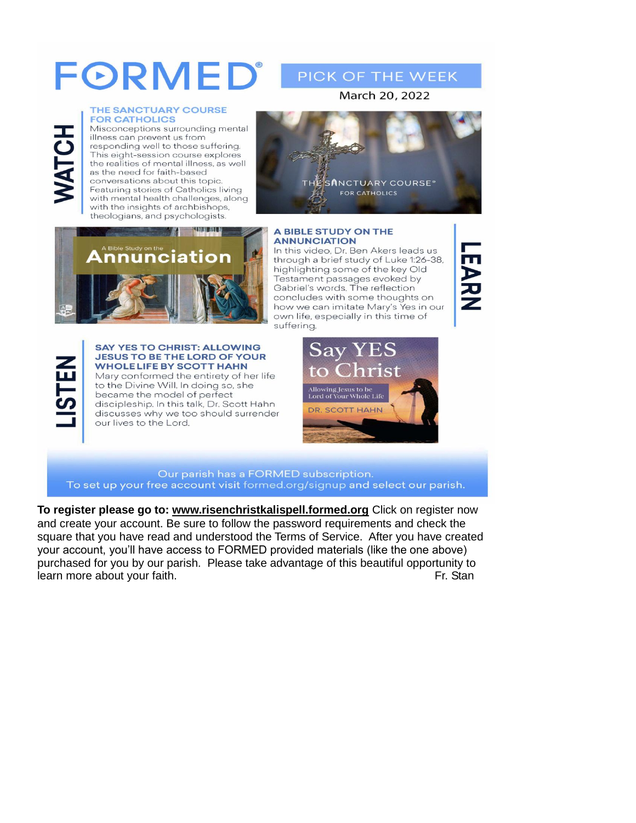# FORMED®

#### THE SANCTUARY COURSE **FOR CATHOLICS**

Misconceptions surrounding mental illness can prevent us from responding well to those suffering. This eight-session course explores the realities of mental illness, as well as the need for faith-based conversations about this topic. Featuring stories of Catholics living with mental health challenges, along with the insights of archbishops, theologians, and psychologists.



PICK OF THE WEEK

#### **A BIBLE STUDY ON THE ANNUNCIATION**

nnunciation



HCL

#### **SAY YES TO CHRIST: ALLOWING JESUS TO BE THE LORD OF YOUR WHOLELIFE BY SCOTT HAHN**

**MAINING ALL N** 

Mary conformed the entirety of her life to the Divine Will. In doing so, she became the model of perfect discipleship. In this talk, Dr. Scott Hahn discusses why we too should surrender our lives to the Lord.

In this video, Dr. Ben Akers leads us through a brief study of Luke 1:26-38, highlighting some of the key Old Testament passages evoked by Gabriel's words. The reflection concludes with some thoughts on how we can imitate Mary's Yes in our own life, especially in this time of suffering.

**NARAN** 



#### Our parish has a FORMED subscription. To set up your free account visit formed.org/signup and select our parish.

**To register please go to: [www.risenchristkalispell.formed.org](http://www.risenchristkalispell.formed.org/)** Click on register now and create your account. Be sure to follow the password requirements and check the square that you have read and understood the Terms of Service. After you have created your account, you'll have access to FORMED provided materials (like the one above) purchased for you by our parish. Please take advantage of this beautiful opportunity to learn more about your faith. The standard state of the standard state of the standard Fr. Standard Standard St